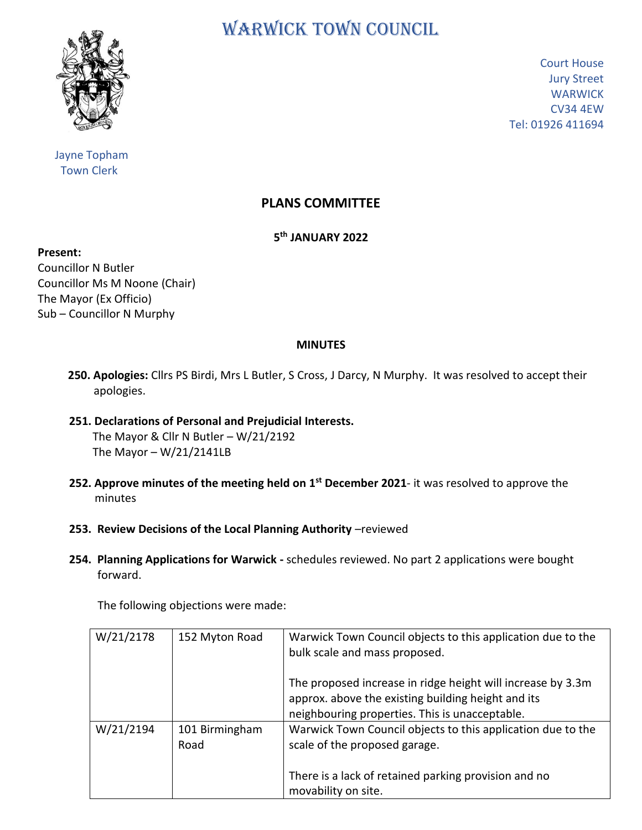

 Jayne Topham Town Clerk

WARWICK TOWN COUNCIL

Court House Jury Street **WARWICK** CV34 4EW Tel: 01926 411694

## **PLANS COMMITTEE**

**5 th JANUARY 2022**

**Present:**

Councillor N Butler Councillor Ms M Noone (Chair) The Mayor (Ex Officio) Sub – Councillor N Murphy

## **MINUTES**

- **250. Apologies:** Cllrs PS Birdi, Mrs L Butler, S Cross, J Darcy, N Murphy. It was resolved to accept their apologies.
- **251. Declarations of Personal and Prejudicial Interests.** The Mayor & Cllr N Butler – W/21/2192 The Mayor  $- W/21/2141LB$
- **252. Approve minutes of the meeting held on 1<sup>st</sup> December 2021- it was resolved to approve the**  minutes
	- **253. Review Decisions of the Local Planning Authority** –reviewed
	- **254. Planning Applications for Warwick -** schedules reviewed. No part 2 applications were bought forward.

The following objections were made:

| W/21/2178 | 152 Myton Road         | Warwick Town Council objects to this application due to the<br>bulk scale and mass proposed.                                                                                |
|-----------|------------------------|-----------------------------------------------------------------------------------------------------------------------------------------------------------------------------|
|           |                        | The proposed increase in ridge height will increase by 3.3m<br>approx. above the existing building height and its<br>neighbouring properties. This is unacceptable.         |
| W/21/2194 | 101 Birmingham<br>Road | Warwick Town Council objects to this application due to the<br>scale of the proposed garage.<br>There is a lack of retained parking provision and no<br>movability on site. |